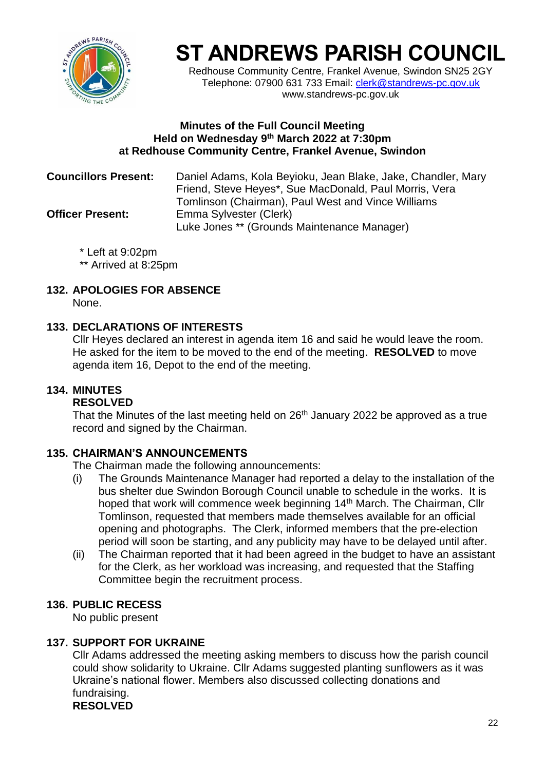

Redhouse Community Centre, Frankel Avenue, Swindon SN25 2GY Telephone: 07900 631 733 Email: [clerk@standrews-pc.gov.uk](mailto:clerk@standrews-pc.gov.uk) www.standrews-pc.gov.uk

#### **Minutes of the Full Council Meeting Held on Wednesday 9 th March 2022 at 7:30pm at Redhouse Community Centre, Frankel Avenue, Swindon**

| <b>Councillors Present:</b> | Daniel Adams, Kola Beyioku, Jean Blake, Jake, Chandler, Mary<br>Friend, Steve Heyes*, Sue MacDonald, Paul Morris, Vera<br>Tomlinson (Chairman), Paul West and Vince Williams |
|-----------------------------|------------------------------------------------------------------------------------------------------------------------------------------------------------------------------|
| <b>Officer Present:</b>     | Emma Sylvester (Clerk)<br>Luke Jones ** (Grounds Maintenance Manager)                                                                                                        |

\* Left at 9:02pm

\*\* Arrived at 8:25pm

# **132. APOLOGIES FOR ABSENCE**

None.

## **133. DECLARATIONS OF INTERESTS**

Cllr Heyes declared an interest in agenda item 16 and said he would leave the room. He asked for the item to be moved to the end of the meeting. **RESOLVED** to move agenda item 16, Depot to the end of the meeting.

# **134. MINUTES**

## **RESOLVED**

That the Minutes of the last meeting held on  $26<sup>th</sup>$  January 2022 be approved as a true record and signed by the Chairman.

## **135. CHAIRMAN'S ANNOUNCEMENTS**

The Chairman made the following announcements:

- (i) The Grounds Maintenance Manager had reported a delay to the installation of the bus shelter due Swindon Borough Council unable to schedule in the works. It is hoped that work will commence week beginning 14<sup>th</sup> March. The Chairman, Cllr Tomlinson, requested that members made themselves available for an official opening and photographs. The Clerk, informed members that the pre-election period will soon be starting, and any publicity may have to be delayed until after.
- (ii) The Chairman reported that it had been agreed in the budget to have an assistant for the Clerk, as her workload was increasing, and requested that the Staffing Committee begin the recruitment process.

## **136. PUBLIC RECESS**

No public present

## **137. SUPPORT FOR UKRAINE**

Cllr Adams addressed the meeting asking members to discuss how the parish council could show solidarity to Ukraine. Cllr Adams suggested planting sunflowers as it was Ukraine's national flower. Members also discussed collecting donations and fundraising. **RESOLVED**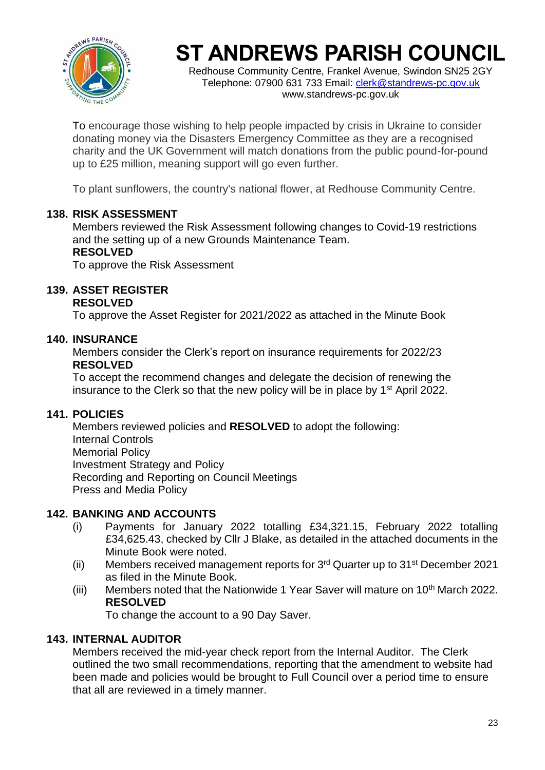

Redhouse Community Centre, Frankel Avenue, Swindon SN25 2GY Telephone: 07900 631 733 Email: [clerk@standrews-pc.gov.uk](mailto:clerk@standrews-pc.gov.uk) www.standrews-pc.gov.uk

To encourage those wishing to help people impacted by crisis in Ukraine to consider donating money via the Disasters Emergency Committee as they are a recognised charity and the UK Government will match donations from the public pound-for-pound up to £25 million, meaning support will go even further.

To plant sunflowers, the country's national flower, at Redhouse Community Centre.

## **138. RISK ASSESSMENT**

Members reviewed the Risk Assessment following changes to Covid-19 restrictions and the setting up of a new Grounds Maintenance Team. **RESOLVED**

To approve the Risk Assessment

# **139. ASSET REGISTER**

#### **RESOLVED**

To approve the Asset Register for 2021/2022 as attached in the Minute Book

### **140. INSURANCE**

Members consider the Clerk's report on insurance requirements for 2022/23 **RESOLVED**

To accept the recommend changes and delegate the decision of renewing the insurance to the Clerk so that the new policy will be in place by  $1<sup>st</sup>$  April 2022.

#### **141. POLICIES**

Members reviewed policies and **RESOLVED** to adopt the following: Internal Controls Memorial Policy Investment Strategy and Policy Recording and Reporting on Council Meetings Press and Media Policy

#### **142. BANKING AND ACCOUNTS**

- (i) Payments for January 2022 totalling £34,321.15, February 2022 totalling £34,625.43, checked by Cllr J Blake, as detailed in the attached documents in the Minute Book were noted.
- (ii) Members received management reports for  $3<sup>rd</sup>$  Quarter up to  $31<sup>st</sup>$  December 2021 as filed in the Minute Book.
- (iii) Members noted that the Nationwide 1 Year Saver will mature on  $10<sup>th</sup>$  March 2022. **RESOLVED**

To change the account to a 90 Day Saver.

## **143. INTERNAL AUDITOR**

Members received the mid-year check report from the Internal Auditor. The Clerk outlined the two small recommendations, reporting that the amendment to website had been made and policies would be brought to Full Council over a period time to ensure that all are reviewed in a timely manner.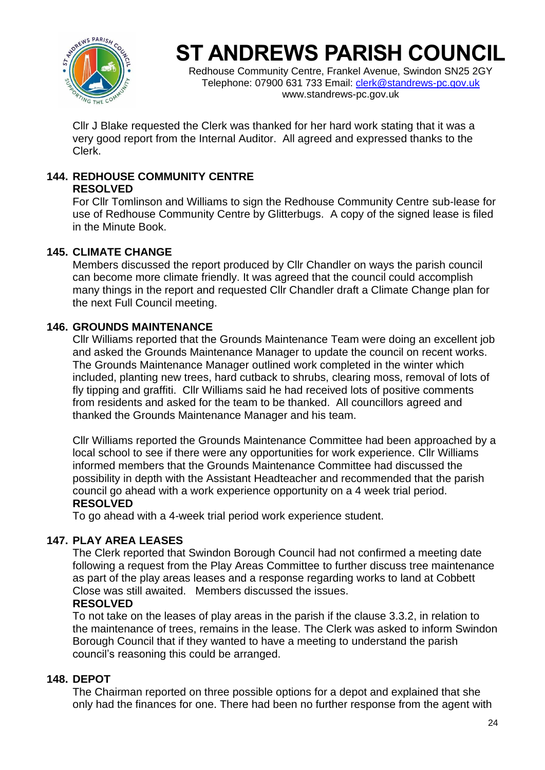

Redhouse Community Centre, Frankel Avenue, Swindon SN25 2GY Telephone: 07900 631 733 Email: [clerk@standrews-pc.gov.uk](mailto:clerk@standrews-pc.gov.uk) www.standrews-pc.gov.uk

Cllr J Blake requested the Clerk was thanked for her hard work stating that it was a very good report from the Internal Auditor. All agreed and expressed thanks to the Clerk.

# **144. REDHOUSE COMMUNITY CENTRE**

## **RESOLVED**

For Cllr Tomlinson and Williams to sign the Redhouse Community Centre sub-lease for use of Redhouse Community Centre by Glitterbugs. A copy of the signed lease is filed in the Minute Book.

## **145. CLIMATE CHANGE**

Members discussed the report produced by Cllr Chandler on ways the parish council can become more climate friendly. It was agreed that the council could accomplish many things in the report and requested Cllr Chandler draft a Climate Change plan for the next Full Council meeting.

# **146. GROUNDS MAINTENANCE**

Cllr Williams reported that the Grounds Maintenance Team were doing an excellent job and asked the Grounds Maintenance Manager to update the council on recent works. The Grounds Maintenance Manager outlined work completed in the winter which included, planting new trees, hard cutback to shrubs, clearing moss, removal of lots of fly tipping and graffiti. Cllr Williams said he had received lots of positive comments from residents and asked for the team to be thanked. All councillors agreed and thanked the Grounds Maintenance Manager and his team.

Cllr Williams reported the Grounds Maintenance Committee had been approached by a local school to see if there were any opportunities for work experience. Cllr Williams informed members that the Grounds Maintenance Committee had discussed the possibility in depth with the Assistant Headteacher and recommended that the parish council go ahead with a work experience opportunity on a 4 week trial period. **RESOLVED**

To go ahead with a 4-week trial period work experience student.

# **147. PLAY AREA LEASES**

The Clerk reported that Swindon Borough Council had not confirmed a meeting date following a request from the Play Areas Committee to further discuss tree maintenance as part of the play areas leases and a response regarding works to land at Cobbett Close was still awaited. Members discussed the issues.

## **RESOLVED**

To not take on the leases of play areas in the parish if the clause 3.3.2, in relation to the maintenance of trees, remains in the lease. The Clerk was asked to inform Swindon Borough Council that if they wanted to have a meeting to understand the parish council's reasoning this could be arranged.

## **148. DEPOT**

The Chairman reported on three possible options for a depot and explained that she only had the finances for one. There had been no further response from the agent with